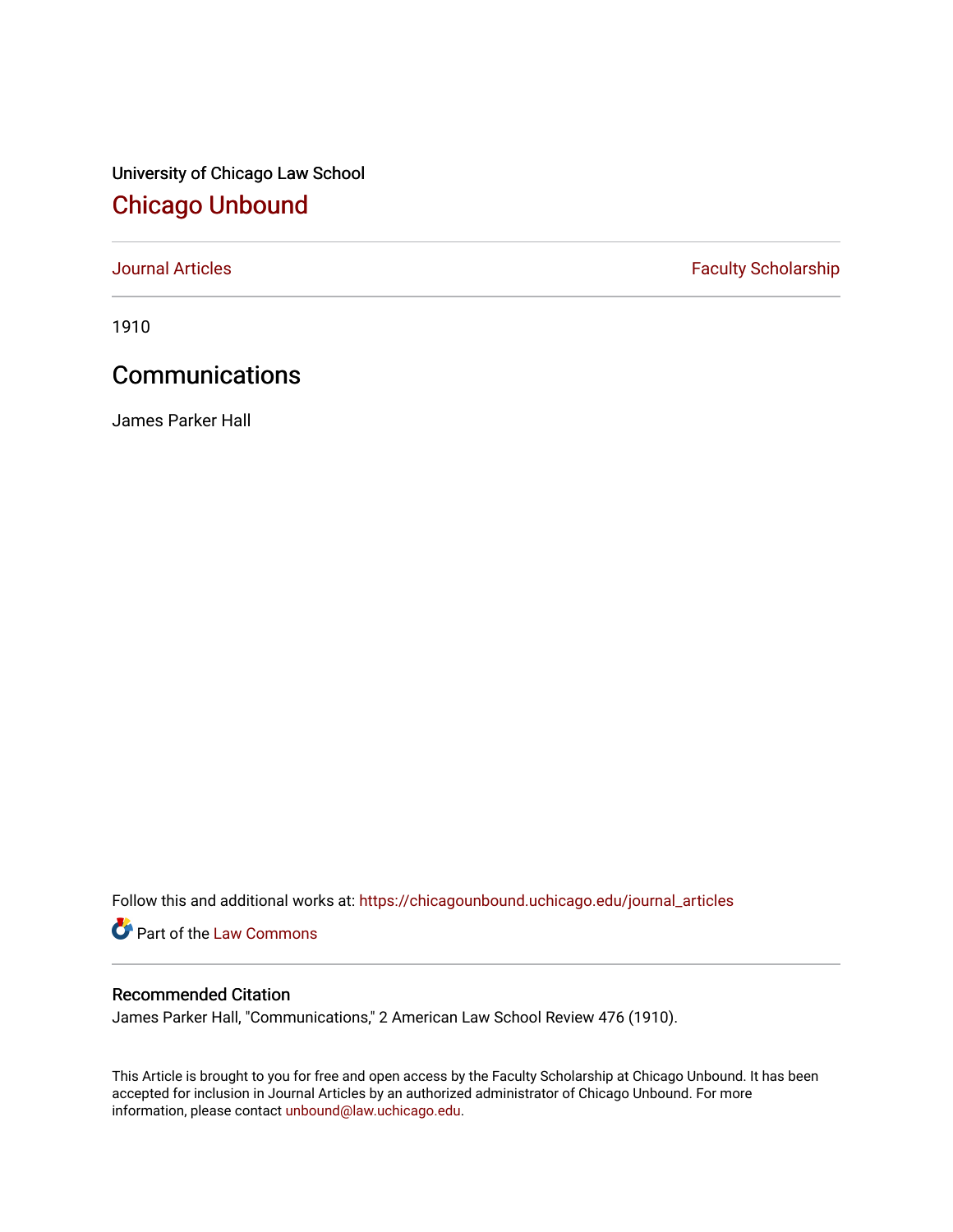University of Chicago Law School [Chicago Unbound](https://chicagounbound.uchicago.edu/)

[Journal Articles](https://chicagounbound.uchicago.edu/journal_articles) **Faculty Scholarship Faculty Scholarship** 

1910

## **Communications**

James Parker Hall

Follow this and additional works at: [https://chicagounbound.uchicago.edu/journal\\_articles](https://chicagounbound.uchicago.edu/journal_articles?utm_source=chicagounbound.uchicago.edu%2Fjournal_articles%2F9017&utm_medium=PDF&utm_campaign=PDFCoverPages) 

Part of the [Law Commons](http://network.bepress.com/hgg/discipline/578?utm_source=chicagounbound.uchicago.edu%2Fjournal_articles%2F9017&utm_medium=PDF&utm_campaign=PDFCoverPages)

## Recommended Citation

James Parker Hall, "Communications," 2 American Law School Review 476 (1910).

This Article is brought to you for free and open access by the Faculty Scholarship at Chicago Unbound. It has been accepted for inclusion in Journal Articles by an authorized administrator of Chicago Unbound. For more information, please contact [unbound@law.uchicago.edu](mailto:unbound@law.uchicago.edu).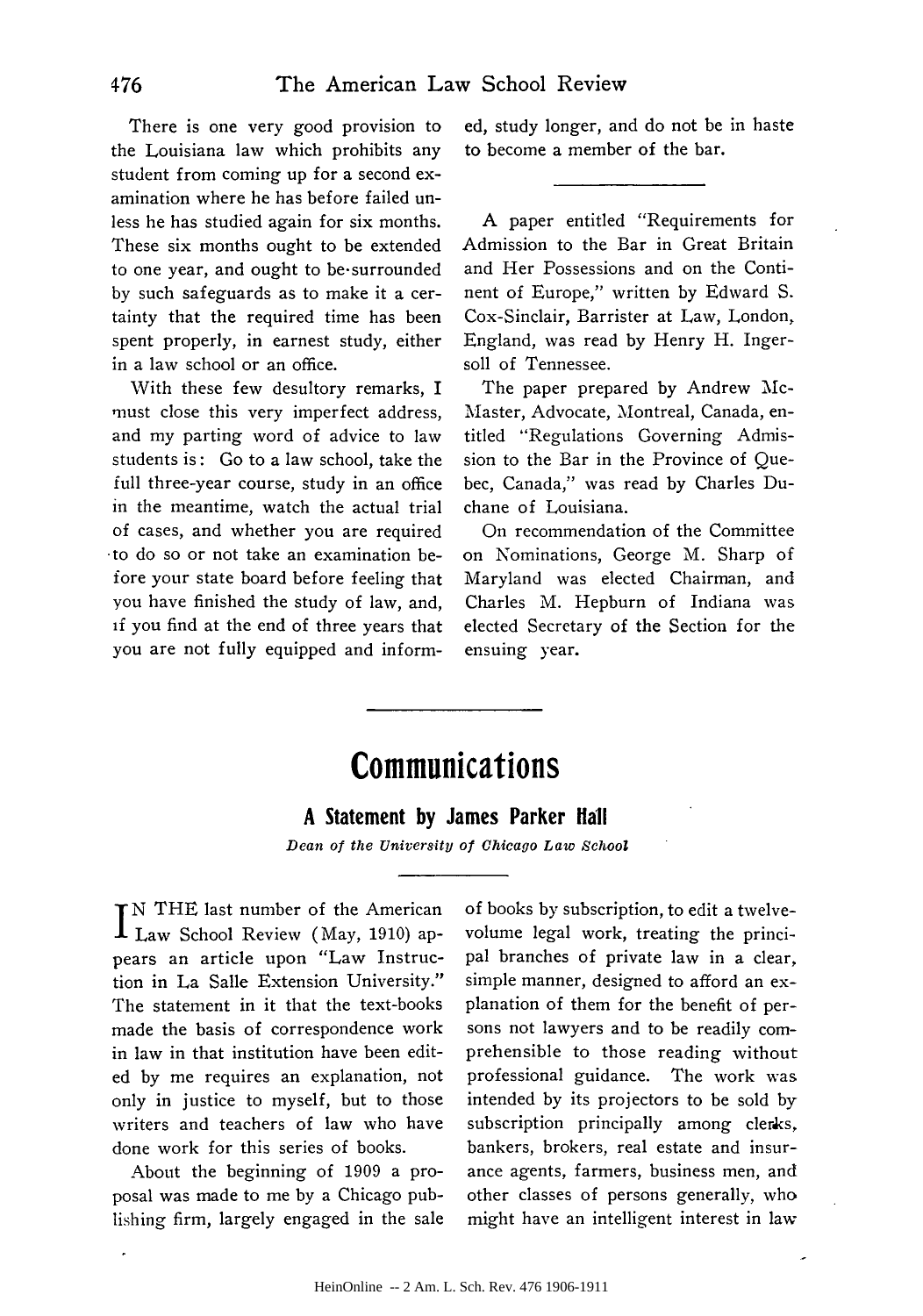There is one very good provision to the Louisiana law which prohibits any student from coming up for a second examination where he has before failed unless he has studied again for six months. These six months ought to be extended to one year, and ought to be-surrounded by such safeguards as to make it a certainty that the required time has been spent properly, in earnest study, either in a law school or an office.

With these few desultory remarks, I must close this very imperfect address, and my parting word of advice to law students is: Go to a law school, take the full three-year course, study in an office in the meantime, watch the actual trial of cases, and whether you are required -to do so or not take an examination before your state board before feeling that you have finished the study of law, and, **if** you find at the end of three years that you are not fully equipped and informed, study longer, and do not be in haste to become a member of the bar.

A paper entitled "Requirements for Admission to the Bar in Great Britain and Her Possessions and on the Continent of Europe," written by Edward **S.** Cox-Sinclair, Barrister at Law, London, England, was read by Henry H. Ingersoll of Tennessee.

The paper prepared by Andrew Mc-Master, Advocate, Montreal, Canada, entitled "Regulations Governing Admission to the Bar in the Province of Quebec, Canada," was read by Charles Duchane of Louisiana.

On recommendation of the Committee on Nominations, George M. Sharp of Maryland was elected Chairman, and Charles M. Hepburn of Indiana was elected Secretary of the Section for the ensuing year.

## **Communications**

## **A** Statement **by** James Parker Hall

*Dean of the University of Chicago Law School*

**I**N THE last number of the American Law School Review (May, 1910) appears an article upon "Law Instruction in La Salle Extension University." The statement in it that the text-books made the basis of correspondence work in law in that institution have been edited by me requires an explanation, not only in justice to myself, but to those writers and teachers of law who have done work for this series of books.

About the beginning of 1909 a proposal was made to me by a Chicago publishing firm, largely engaged in the sale of books by subscription, to edit a twelvevolume legal work, treating the principal branches of private law in a clear, simple manner, designed to afford an explanation of them for the benefit of persons not lawyers and to be readily comprehensible to those reading without professional guidance. The work was intended by its projectors to be sold by subscription principally among clerks, bankers, brokers, real estate and insurance agents, farmers, business men, and other classes of persons generally, who might have an intelligent interest in law